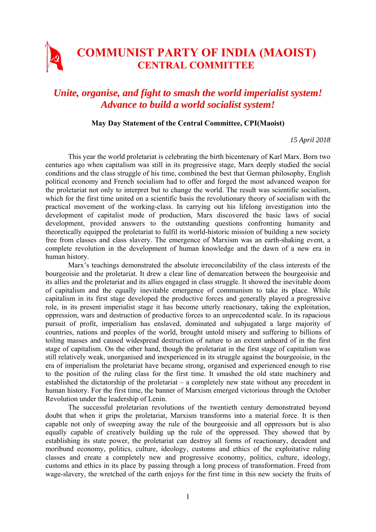## **COMMUNIST PARTY OF INDIA (MAOIST) CENTRAL COMMITTEE**

## *Unite, organise, and fight to smash the world imperialist system! Advance to build a world socialist system!*

## **May Day Statement of the Central Committee, CPI(Maoist)**

*15 April 2018* 

This year the world proletariat is celebrating the birth bicentenary of Karl Marx. Born two centuries ago when capitalism was still in its progressive stage, Marx deeply studied the social conditions and the class struggle of his time, combined the best that German philosophy, English political economy and French socialism had to offer and forged the most advanced weapon for the proletariat not only to interpret but to change the world. The result was scientific socialism, which for the first time united on a scientific basis the revolutionary theory of socialism with the practical movement of the working-class. In carrying out his lifelong investigation into the development of capitalist mode of production, Marx discovered the basic laws of social development, provided answers to the outstanding questions confronting humanity and theoretically equipped the proletariat to fulfil its world-historic mission of building a new society free from classes and class slavery. The emergence of Marxism was an earth-shaking event, a complete revolution in the development of human knowledge and the dawn of a new era in human history.

Marx's teachings demonstrated the absolute irreconcilability of the class interests of the bourgeoisie and the proletariat. It drew a clear line of demarcation between the bourgeoisie and its allies and the proletariat and its allies engaged in class struggle. It showed the inevitable doom of capitalism and the equally inevitable emergence of communism to take its place. While capitalism in its first stage developed the productive forces and generally played a progressive role, in its present imperialist stage it has become utterly reactionary, taking the exploitation, oppression, wars and destruction of productive forces to an unprecedented scale. In its rapacious pursuit of profit, imperialism has enslaved, dominated and subjugated a large majority of countries, nations and peoples of the world, brought untold misery and suffering to billions of toiling masses and caused widespread destruction of nature to an extent unheard of in the first stage of capitalism. On the other hand, though the proletariat in the first stage of capitalism was still relatively weak, unorganised and inexperienced in its struggle against the bourgeoisie, in the era of imperialism the proletariat have became strong, organised and experienced enough to rise to the position of the ruling class for the first time. It smashed the old state machinery and established the dictatorship of the proletariat – a completely new state without any precedent in human history. For the first time, the banner of Marxism emerged victorious through the October Revolution under the leadership of Lenin.

The successful proletarian revolutions of the twentieth century demonstrated beyond doubt that when it grips the proletariat, Marxism transforms into a material force. It is then capable not only of sweeping away the rule of the bourgeoisie and all oppressors but is also equally capable of creatively building up the rule of the oppressed. They showed that by establishing its state power, the proletariat can destroy all forms of reactionary, decadent and moribund economy, politics, culture, ideology, customs and ethics of the exploitative ruling classes and create a completely new and progressive economy, politics, culture, ideology, customs and ethics in its place by passing through a long process of transformation. Freed from wage-slavery, the wretched of the earth enjoys for the first time in this new society the fruits of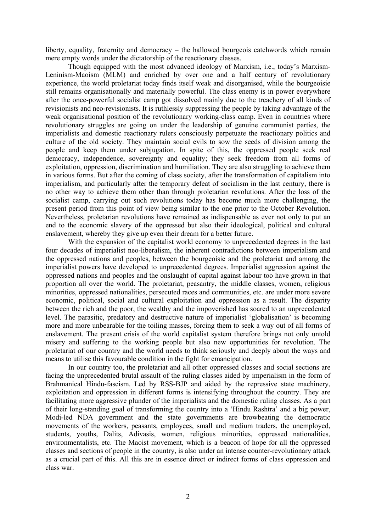liberty, equality, fraternity and democracy – the hallowed bourgeois catchwords which remain mere empty words under the dictatorship of the reactionary classes.

Though equipped with the most advanced ideology of Marxism, i.e., today's Marxism-Leninism-Maoism (MLM) and enriched by over one and a half century of revolutionary experience, the world proletariat today finds itself weak and disorganised, while the bourgeoisie still remains organisationally and materially powerful. The class enemy is in power everywhere after the once-powerful socialist camp got dissolved mainly due to the treachery of all kinds of revisionists and neo-revisionists. It is ruthlessly suppressing the people by taking advantage of the weak organisational position of the revolutionary working-class camp. Even in countries where revolutionary struggles are going on under the leadership of genuine communist parties, the imperialists and domestic reactionary rulers consciously perpetuate the reactionary politics and culture of the old society. They maintain social evils to sow the seeds of division among the people and keep them under subjugation. In spite of this, the oppressed people seek real democracy, independence, sovereignty and equality; they seek freedom from all forms of exploitation, oppression, discrimination and humiliation. They are also struggling to achieve them in various forms. But after the coming of class society, after the transformation of capitalism into imperialism, and particularly after the temporary defeat of socialism in the last century, there is no other way to achieve them other than through proletarian revolutions. After the loss of the socialist camp, carrying out such revolutions today has become much more challenging, the present period from this point of view being similar to the one prior to the October Revolution. Nevertheless, proletarian revolutions have remained as indispensable as ever not only to put an end to the economic slavery of the oppressed but also their ideological, political and cultural enslavement, whereby they give up even their dream for a better future.

With the expansion of the capitalist world economy to unprecedented degrees in the last four decades of imperialist neo-liberalism, the inherent contradictions between imperialism and the oppressed nations and peoples, between the bourgeoisie and the proletariat and among the imperialist powers have developed to unprecedented degrees. Imperialist aggression against the oppressed nations and peoples and the onslaught of capital against labour too have grown in that proportion all over the world. The proletariat, peasantry, the middle classes, women, religious minorities, oppressed nationalities, persecuted races and communities, etc. are under more severe economic, political, social and cultural exploitation and oppression as a result. The disparity between the rich and the poor, the wealthy and the impoverished has soared to an unprecedented level. The parasitic, predatory and destructive nature of imperialist 'globalisation' is becoming more and more unbearable for the toiling masses, forcing them to seek a way out of all forms of enslavement. The present crisis of the world capitalist system therefore brings not only untold misery and suffering to the working people but also new opportunities for revolution. The proletariat of our country and the world needs to think seriously and deeply about the ways and means to utilise this favourable condition in the fight for emancipation.

In our country too, the proletariat and all other oppressed classes and social sections are facing the unprecedented brutal assault of the ruling classes aided by imperialism in the form of Brahmanical Hindu-fascism. Led by RSS-BJP and aided by the repressive state machinery, exploitation and oppression in different forms is intensifying throughout the country. They are facilitating more aggressive plunder of the imperialists and the domestic ruling classes. As a part of their long-standing goal of transforming the country into a 'Hindu Rashtra' and a big power, Modi-led NDA government and the state governments are browbeating the democratic movements of the workers, peasants, employees, small and medium traders, the unemployed, students, youths, Dalits, Adivasis, women, religious minorities, oppressed nationalities, environmentalists, etc. The Maoist movement, which is a beacon of hope for all the oppressed classes and sections of people in the country, is also under an intense counter-revolutionary attack as a crucial part of this. All this are in essence direct or indirect forms of class oppression and class war.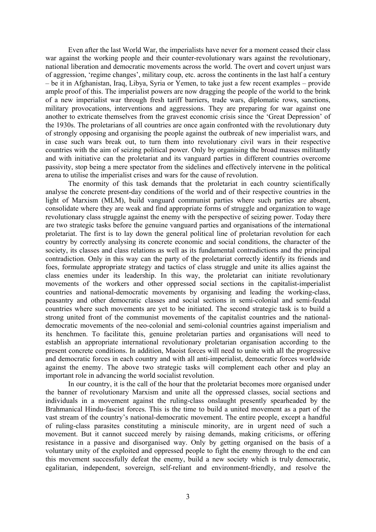Even after the last World War, the imperialists have never for a moment ceased their class war against the working people and their counter-revolutionary wars against the revolutionary, national liberation and democratic movements across the world. The overt and covert unjust wars of aggression, 'regime changes', military coup, etc. across the continents in the last half a century – be it in Afghanistan, Iraq, Libya, Syria or Yemen, to take just a few recent examples – provide ample proof of this. The imperialist powers are now dragging the people of the world to the brink of a new imperialist war through fresh tariff barriers, trade wars, diplomatic rows, sanctions, military provocations, interventions and aggressions. They are preparing for war against one another to extricate themselves from the gravest economic crisis since the 'Great Depression' of the 1930s. The proletarians of all countries are once again confronted with the revolutionary duty of strongly opposing and organising the people against the outbreak of new imperialist wars, and in case such wars break out, to turn them into revolutionary civil wars in their respective countries with the aim of seizing political power. Only by organising the broad masses militantly and with initiative can the proletariat and its vanguard parties in different countries overcome passivity, stop being a mere spectator from the sidelines and effectively intervene in the political arena to utilise the imperialist crises and wars for the cause of revolution.

The enormity of this task demands that the proletariat in each country scientifically analyse the concrete present-day conditions of the world and of their respective countries in the light of Marxism (MLM), build vanguard communist parties where such parties are absent, consolidate where they are weak and find appropriate forms of struggle and organization to wage revolutionary class struggle against the enemy with the perspective of seizing power. Today there are two strategic tasks before the genuine vanguard parties and organisations of the international proletariat. The first is to lay down the general political line of proletarian revolution for each country by correctly analysing its concrete economic and social conditions, the character of the society, its classes and class relations as well as its fundamental contradictions and the principal contradiction. Only in this way can the party of the proletariat correctly identify its friends and foes, formulate appropriate strategy and tactics of class struggle and unite its allies against the class enemies under its leadership. In this way, the proletariat can initiate revolutionary movements of the workers and other oppressed social sections in the capitalist-imperialist countries and national-democratic movements by organising and leading the working-class, peasantry and other democratic classes and social sections in semi-colonial and semi-feudal countries where such movements are yet to be initiated. The second strategic task is to build a strong united front of the communist movements of the capitalist countries and the nationaldemocratic movements of the neo-colonial and semi-colonial countries against imperialism and its henchmen. To facilitate this, genuine proletarian parties and organisations will need to establish an appropriate international revolutionary proletarian organisation according to the present concrete conditions. In addition, Maoist forces will need to unite with all the progressive and democratic forces in each country and with all anti-imperialist, democratic forces worldwide against the enemy. The above two strategic tasks will complement each other and play an important role in advancing the world socialist revolution.

In our country, it is the call of the hour that the proletariat becomes more organised under the banner of revolutionary Marxism and unite all the oppressed classes, social sections and individuals in a movement against the ruling-class onslaught presently spearheaded by the Brahmanical Hindu-fascist forces. This is the time to build a united movement as a part of the vast stream of the country's national-democratic movement. The entire people, except a handful of ruling-class parasites constituting a miniscule minority, are in urgent need of such a movement. But it cannot succeed merely by raising demands, making criticisms, or offering resistance in a passive and disorganised way. Only by getting organised on the basis of a voluntary unity of the exploited and oppressed people to fight the enemy through to the end can this movement successfully defeat the enemy, build a new society which is truly democratic, egalitarian, independent, sovereign, self-reliant and environment-friendly, and resolve the